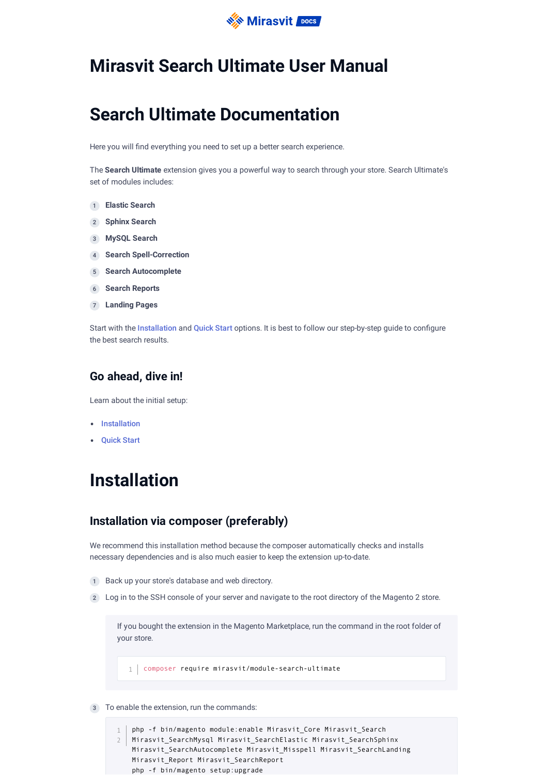

## **Mirasvit Search Ultimate User Manual**

## **Search Ultimate Documentation**

Here you will find everything you need to set up a better search experience.

The **Search Ultimate** extension gives you a powerful way to search through your store. Search Ultimate's set of modules includes:

- 1 **Elastic Search**
- 2 **Sphinx Search**
- 3 **MySQL Search**
- 4 **Search Spell-Correction**
- 5 **Search Autocomplete**
- 6 **Search Reports**
- 7 **Landing Pages**

Start with the [Installation](#page-0-0) and [Quick](#page-1-0) Start options. It is best to follow our step-by-step quide to configure the best search results.

### **Go ahead, dive in!**

Learn about the initial setup:

- [Installation](#page-0-0)
- [Quick](#page-1-0) Start

## <span id="page-0-0"></span>**Installation**

## **Installation via composer (preferably)**

We recommend this installation method because the composer automatically checks and installs necessary dependencies and is also much easier to keep the extension up-to-date.

- 1 Back up your store's database and web directory.
- 2) Log in to the SSH console of your server and navigate to the root directory of the Magento 2 store.

If you bought the extension in the Magento Marketplace, run the command in the root folder of your store.

1 | composer require mirasvit/module-search-ultimate

3 To enable the extension, run the commands:

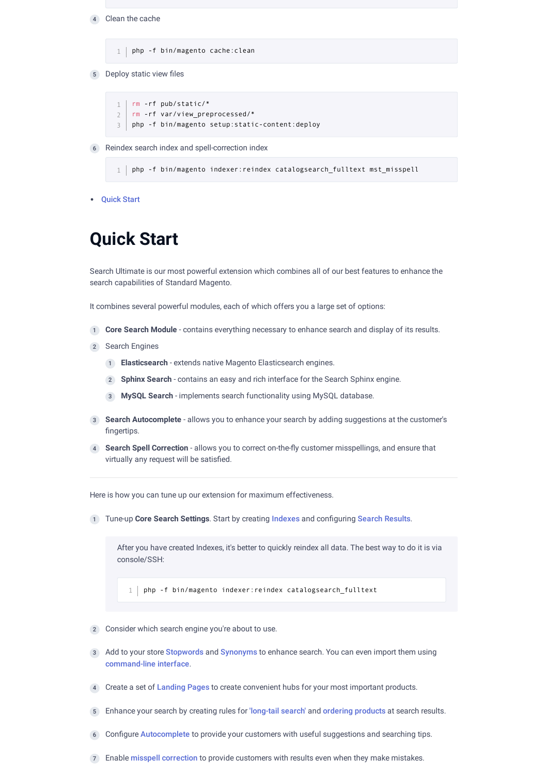4 Clean the cache

1 | php -f bin/magento cache: clean

5 Deploy static view files

```
rm -rf pub/static/*
   rm -rf var/view_preprocessed/*
   php -f bin/magento setup:static-content:deploy
1
\overline{2}3
```
6 Reindex search index and spell-correction index

 $1$  php -f bin/magento indexer:reindex catalogsearch fulltext mst misspell

[Quick](#page-1-0) Start

## <span id="page-1-0"></span>**Quick Start**

Search Ultimate is our most powerful extension which combines all of our best features to enhance the search capabilities of Standard Magento.

It combines several powerful modules, each of which offers you a large set of options:

- 1 **Core Search Module** contains everything necessary to enhance search and display of its results.
- 2 Search Engines
	- 1 **Elasticsearch** extends native Magento Elasticsearch engines.
	- 2 **Sphinx Search** contains an easy and rich interface for the Search Sphinx engine.
	- 3 **MySQL Search** implements search functionality using MySQL database.
- **Search Autocomplete** allows you to enhance your search by adding suggestions at the customer's 3 fingertips.
- 4) Search Spell Correction allows you to correct on-the-fly customer misspellings, and ensure that virtually any request will be satisfied.

Here is how you can tune up our extension for maximum effectiveness.

1) Tune-up **Core Search Settings**. Start by creating Indexes and configuring Search [Results](#page-2-0).

After you have created Indexes, it's better to quickly reindex all data. The best way to do it is via console/SSH:

 $1$  php -f bin/magento indexer: reindex catalogsearch fulltext

- 2 Consider which search engine you're about to use.
- 3) Add to your store [Stopwords](#page-20-0) and [Synonyms](#page-20-1) to enhance search. You can even import them using [command-line](#page-26-0) interface.
- 4 Create a set of [Landing](#page-19-0) Pages to create convenient hubs for your most important products.
- 5 Enhance your search by creating rules for ['long-tail](#page-9-0) search' and ordering [products](#page-11-0) at search results.
- 6 Configure [Autocomplete](#page-16-0) to provide your customers with useful suggestions and searching tips.
- 7 Enable misspell [correction](#page-18-0) to provide customers with results even when they make mistakes.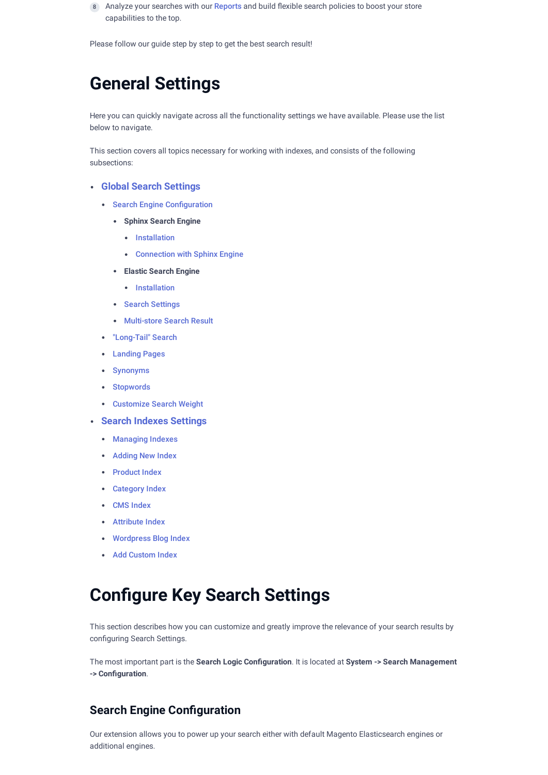8) Analyze your searches with our [Reports](#page-19-1) and build flexible search policies to boost your store capabilities to the top.

Please follow our guide step by step to get the best search result!

## **General Settings**

Here you can quickly navigate across all the functionality settings we have available. Please use the list below to navigate.

This section covers all topics necessary for working with indexes, and consists of the following subsections:

### **Global Search [Settings](#page-2-0)**

- Search Engine Configuration
	- **Sphinx Search Engine**
		- [Installation](#page-7-0)
		- [Connection](#page-9-1) with Sphinx Engine
	- **Elastic Search Engine**
		- [Installation](https://mirasvit.com/docs/module-search-elastic-ultimate/current/module-search-elastic/current/engine/installation)
	- Search Settings
	- Multi-store Search Result
- ["Long-Tail"](#page-9-0) Search
- [Landing](#page-19-0) Pages
- [Synonyms](#page-20-1)
- [Stopwords](#page-20-0)
- [Customize](#page-11-0) Search Weight
- **Search Indexes Settings**
	- Managing Indexes
	- **Adding New Index**
	- Product Index
	- Category Index
	- CMS Index
	- Attribute Index
	- Wordpress Blog Index
	- Add [Custom](#page-16-1) Index

## <span id="page-2-0"></span>**Congure Key Search Settings**

This section describes how you can customize and greatly improve the relevance of your search results by configuring Search Settings.

The most important part is the **Search Logic Conguration**. It is located at **System -> Search Management -> Conguration**.

## **Search Engine Configuration**

Our extension allows you to power up your search either with default Magento Elasticsearch engines or additional engines.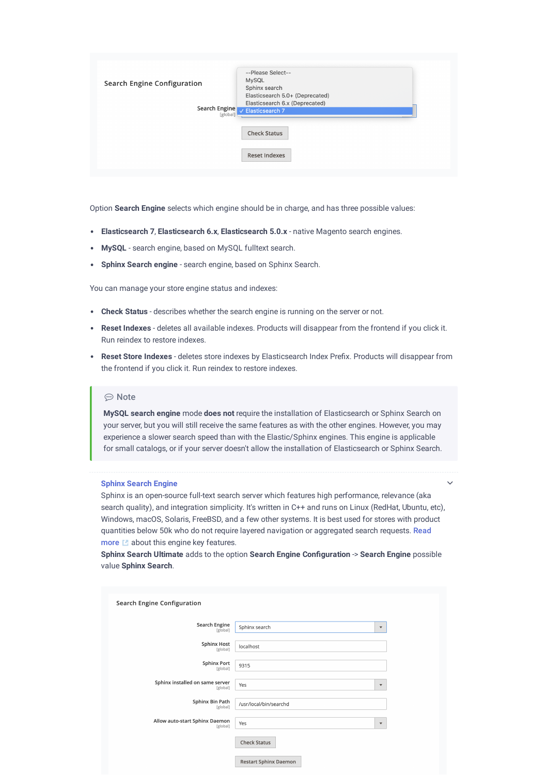| <b>Search Engine Configuration</b><br>Search Engine<br><b>rglobal</b> | --Please Select--<br><b>MySQL</b><br>Sphinx search<br>Elasticsearch 5.0+ (Deprecated)<br>Elasticsearch 6.x (Deprecated)<br>$\vee$ Elasticsearch 7 |
|-----------------------------------------------------------------------|---------------------------------------------------------------------------------------------------------------------------------------------------|
|                                                                       | <b>Check Status</b>                                                                                                                               |
|                                                                       | <b>Reset Indexes</b>                                                                                                                              |

Option **Search Engine** selects which engine should be in charge, and has three possible values:

- **Elasticsearch 7**, **Elasticsearch 6.x**, **Elasticsearch 5.0.x** native Magento search engines.
- **MySQL** search engine, based on MySQL fulltext search.
- **Sphinx Search engine** search engine, based on Sphinx Search.

You can manage your store engine status and indexes:

- **Check Status** describes whether the search engine is running on the server or not.
- **Reset Indexes** deletes all available indexes. Products will disappear from the frontend if you click it. Run reindex to restore indexes.
- **Reset Store Indexes** deletes store indexes by Elasticsearch Index Prefix. Products will disappear from the frontend if you click it. Run reindex to restore indexes.

### **⊙** Note

**MySQL search engine** mode **does not** require the installation of Elasticsearch or Sphinx Search on your server, but you will still receive the same features as with the other engines. However, you may experience a slower search speed than with the Elastic/Sphinx engines. This engine is applicable for small catalogs, or if your server doesn't allow the installation of Elasticsearch or Sphinx Search.

#### **Sphinx Search Engine**

Sphinx is an open-source full-text search server which features high performance, relevance (aka search quality), and integration simplicity. It's written in C++ and runs on Linux (RedHat, Ubuntu, etc), Windows, macOS, Solaris, FreeBSD, and a few other systems. It is best used for stores with product quantities below 50k who do not require layered navigation or [aggregated](http://sphinxsearch.com/about/sphinx/) search requests. Read more  $\blacksquare$  about this engine key features.

 $\checkmark$ 

**Sphinx Search Ultimate** adds to the option **Search Engine Conguration** -> **Search Engine** possible value **Sphinx Search**.

| <b>Search Engine Configuration</b>          |                              |                           |
|---------------------------------------------|------------------------------|---------------------------|
| Search Engine<br>[global]                   | Sphinx search                | $\blacktriangledown$      |
| <b>Sphinx Host</b><br>[global]              | localhost                    |                           |
| <b>Sphinx Port</b><br>[global]              | 9315                         |                           |
| Sphinx installed on same server<br>[global] | Yes                          | $\boldsymbol{\mathrm{v}}$ |
| Sphinx Bin Path<br>[global]                 | /usr/local/bin/searchd       |                           |
| Allow auto-start Sphinx Daemon<br>[global]  | Yes                          | $\blacktriangledown$      |
|                                             | <b>Check Status</b>          |                           |
|                                             | <b>Restart Sphinx Daemon</b> |                           |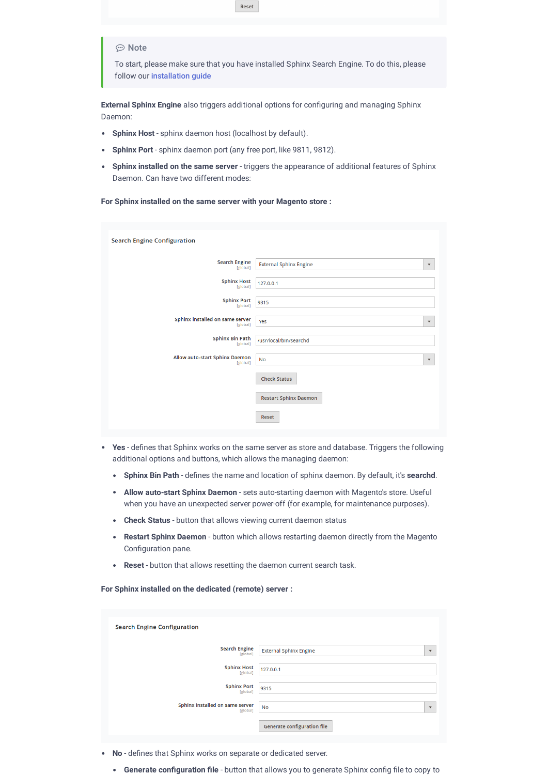

**External Sphinx Engine** also triggers additional options for configuring and managing Sphinx Daemon:

- **Sphinx Host** sphinx daemon host (localhost by default).  $\bullet$
- **Sphinx Port** sphinx daemon port (any free port, like 9811, 9812).
- **Sphinx installed on the same server** triggers the appearance of additional features of Sphinx Daemon. Can have two different modes:

**For Sphinx installed on the same server with your Magento store :**

| <b>Search Engine Configuration</b>          |                                                       |
|---------------------------------------------|-------------------------------------------------------|
| <b>Search Engine</b><br>[global]            | <b>External Sphinx Engine</b><br>$\blacktriangledown$ |
| <b>Sphinx Host</b><br>[global]              | 127.0.0.1                                             |
| <b>Sphinx Port</b><br>[global]              | 9315                                                  |
| Sphinx installed on same server<br>[global] | Yes<br>$\overline{\mathbf{v}}$                        |
| <b>Sphinx Bin Path</b><br>[global]          | /usr/local/bin/searchd                                |
| Allow auto-start Sphinx Daemon<br>[global]  | <b>No</b><br>$\boldsymbol{\mathrm{v}}$                |
|                                             | <b>Check Status</b>                                   |
|                                             | <b>Restart Sphinx Daemon</b>                          |
|                                             | <b>Reset</b>                                          |

- Yes defines that Sphinx works on the same server as store and database. Triggers the following additional options and buttons, which allows the managing daemon:
	- **Sphinx Bin Path** defines the name and location of sphinx daemon. By default, it's **searchd**.
	- **Allow auto-start Sphinx Daemon** sets auto-starting daemon with Magento's store. Useful when you have an unexpected server power-off (for example, for maintenance purposes).
	- **Check Status** button that allows viewing current daemon status
	- **Restart Sphinx Daemon** button which allows restarting daemon directly from the Magento Configuration pane.
	- **Reset** button that allows resetting the daemon current search task.

**For Sphinx installed on the dedicated (remote) server :**

| <b>Search Engine Configuration</b>          |                                                       |
|---------------------------------------------|-------------------------------------------------------|
| <b>Search Engine</b><br>[global]            | <b>External Sphinx Engine</b><br>$\blacktriangledown$ |
| <b>Sphinx Host</b><br>[global]              | 127.0.0.1                                             |
| <b>Sphinx Port</b><br>[global]              | 9315                                                  |
| Sphinx installed on same server<br>[global] | <b>No</b><br>$\overline{\mathbf{v}}$                  |
|                                             | <b>Generate configuration file</b>                    |
|                                             |                                                       |

- No defines that Sphinx works on separate or dedicated server.
	- **Generate configuration file** button that allows you to generate Sphinx config file to copy to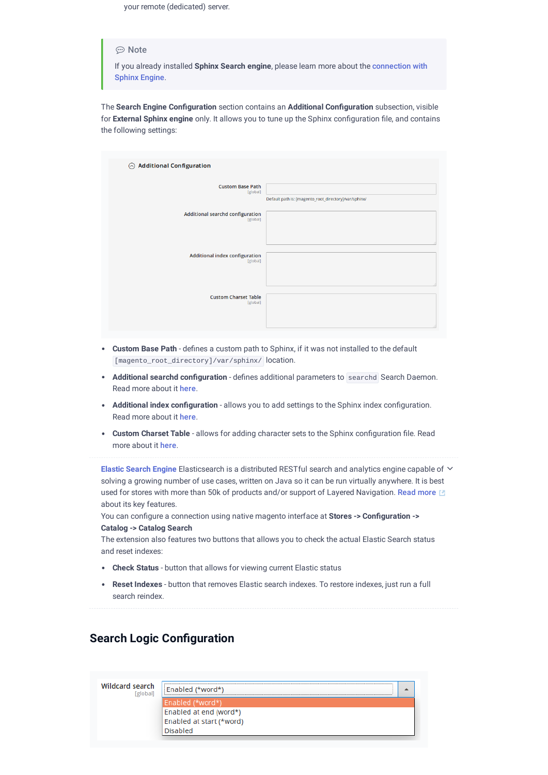your remote (dedicated) server.

### ⊕ Note

If you already installed **Sphinx Search engine**, please learn more about the [connection](#page-9-1) with Sphinx Engine.

The **Search Engine Conguration** section contains an **Additional Conguration** subsection, visible for **External Sphinx engine** only. It allows you to tune up the Sphinx configuration file, and contains the following settings:

| $\odot$ Additional Configuration                  |                                                       |
|---------------------------------------------------|-------------------------------------------------------|
| <b>Custom Base Path</b><br>[global]               | Default path is: [magento_root_directory]/var/sphinx/ |
| Additional searchd configuration<br>[global]      |                                                       |
|                                                   |                                                       |
| <b>Additional index configuration</b><br>[global] |                                                       |
|                                                   |                                                       |
| <b>Custom Charset Table</b><br>[global]           |                                                       |
|                                                   |                                                       |

- **Custom Base Path** defines a custom path to Sphinx, if it was not installed to the default [magento\_root\_directory]/var/sphinx/ location.
- **Additional searchd configuration** defines additional parameters to searchd Search Daemon. Read more about it here.
- **Additional index conguration** allows you to add settings to the Sphinx index conguration. Read more about it here.
- **Custom Charset Table** allows for adding character sets to the Sphinx configuration file. Read more about it here.

**Elastic Search Engine** Elasticsearch is a distributed RESTful search and analytics engine capable of solving a growing number of use cases, written on Java so it can be run virtually anywhere. It is best used for stores with [more](https://www.elastic.co/products/elasticsearch) than 50k of products and/or support of Layered Navigation. Read more [20] about its key features.

You can congure a connection using native magento interface at **Stores -> Conguration -> Catalog -> Catalog Search**

The extension also features two buttons that allows you to check the actual Elastic Search status and reset indexes:

- **Check Status** button that allows for viewing current Elastic status
- **Reset Indexes** button that removes Elastic search indexes. To restore indexes, just run a full  $\bullet$ search reindex.

### **Search Logic Configuration**

**Wildcard search Fgloball** 

| Enabled (*word*)         |  |
|--------------------------|--|
| Enabled (*word*)         |  |
| Enabled at end (word*)   |  |
| Enabled at start (*word) |  |
| Disabled                 |  |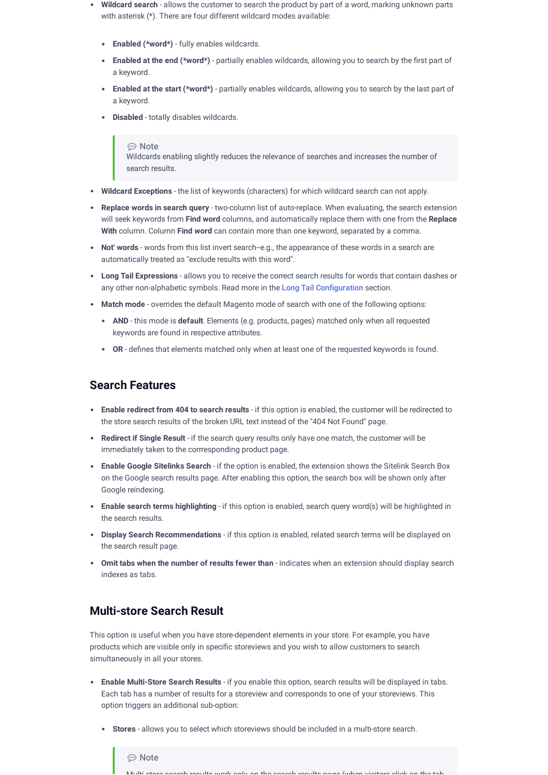- **Wildcard search** allows the customer to search the product by part of a word, marking unknown parts with asterisk (\*). There are four different wildcard modes available:
	- **Enabled (\*word\*)** fully enables wildcards.
	- **Enabled at the end (\*word\*)** partially enables wildcards, allowing you to search by the first part of a keyword.
	- **Enabled at the start (\*word\*)** partially enables wildcards, allowing you to search by the last part of a keyword.
	- **Disabled** totally disables wildcards.

#### ⊕ Note

Wildcards enabling slightly reduces the relevance of searches and increases the number of search results.

- **Wildcard Exceptions** the list of keywords (characters) for which wildcard search can not apply.
- **Replace words in search query** two-column list of auto-replace. When evaluating, the search extension will seek keywords from **Find word** columns, and automatically replace them with one from the **Replace With** column. Column **Find word** can contain more than one keyword, separated by a comma.
- **Not' words** words from this list invert search-e.g., the appearance of these words in a search are automatically treated as "exclude results with this word".
- **Long Tail Expressions** allows you to receive the correct search results for words that contain dashes or any other non-alphabetic symbols. Read more in the Long Tail Configuration section.
- **Match mode** overrides the default Magento mode of search with one of the following options:
	- **AND** this mode is **default**. Elements (e.g. products, pages) matched only when all requested keywords are found in respective attributes.
	- OR defines that elements matched only when at least one of the requested keywords is found.

### **Search Features**

- **Enable redirect from 404 to search results** if this option is enabled, the customer will be redirected to the store search results of the broken URL text instead of the "404 Not Found" page.
- **Redirect if Single Result** if the search query results only have one match, the customer will be immediately taken to the corrresponding product page.
- **Enable Google Sitelinks Search** if the option is enabled, the extension shows the Sitelink Search Box on the Google search results page. After enabling this option, the search box will be shown only after Google reindexing.
- **Enable search terms highlighting** if this option is enabled, search query word(s) will be highlighted in the search results.
- **Display Search Recommendations** if this option is enabled, related search terms will be displayed on the search result page.
- **Omit tabs when the number of results fewer than** indicates when an extension should display search indexes as tabs.

### **Multi-store Search Result**

This option is useful when you have store-dependent elements in your store. For example, you have products which are visible only in specific storeviews and you wish to allow customers to search simultaneously in all your stores.

- **Enable Multi-Store Search Results** if you enable this option, search results will be displayed in tabs. Each tab has a number of results for a storeview and corresponds to one of your storeviews. This option triggers an additional sub-option:
	- **Stores** allows you to select which storeviews should be included in a multi-store search.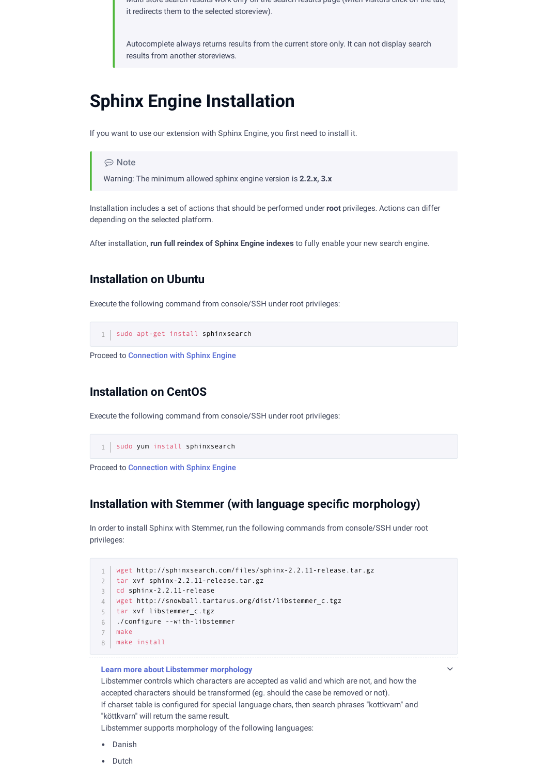Multi-store search results work only on the search results page (when visitors click on the tab, it redirects them to the selected storeview).

Autocomplete always returns results from the current store only. It can not display search results from another storeviews.

## <span id="page-7-0"></span>**Sphinx Engine Installation**

If you want to use our extension with Sphinx Engine, you first need to install it.

⊕ Note

Warning: The minimum allowed sphinx engine version is **2.2.x, 3.x**

Installation includes a set of actions that should be performed under **root** privileges. Actions can differ depending on the selected platform.

After installation, **run full reindex of Sphinx Engine indexes** to fully enable your new search engine.

### **Installation on Ubuntu**

Execute the following command from console/SSH under root privileges:

1 | sudo apt-get install sphinxsearch

Proceed to [Connection](#page-9-1) with Sphinx Engine

## **Installation on CentOS**

Execute the following command from console/SSH under root privileges:

1 | sudo yum install sphinxsearch

Proceed to [Connection](#page-9-1) with Sphinx Engine

### **Installation** with Stemmer (with language specific morphology)

In order to install Sphinx with Stemmer, run the following commands from console/SSH under root privileges:

```
wget http://sphinxsearch.com/files/sphinx-2.2.11-release.tar.gz
1
tar xvf sphinx-2.2.11-release.tar.gz
2
cd sphinx-2.2.11-release
3
wget http://snowball.tartarus.org/dist/libstemmer_c.tgz
4
5 | tar xvf libstemmer_c.tgz
./configure --with-libstemmer
6
make
7
make install
8
```
#### **Learn more about Libstemmer morphology**

Libstemmer controls which characters are accepted as valid and which are not, and how the accepted characters should be transformed (eg. should the case be removed or not). If charset table is configured for special language chars, then search phrases "kottkvarn" and "köttkvarn" will return the same result.

 $\checkmark$ 

Libstemmer supports morphology of the following languages:

- Danish
- Dutch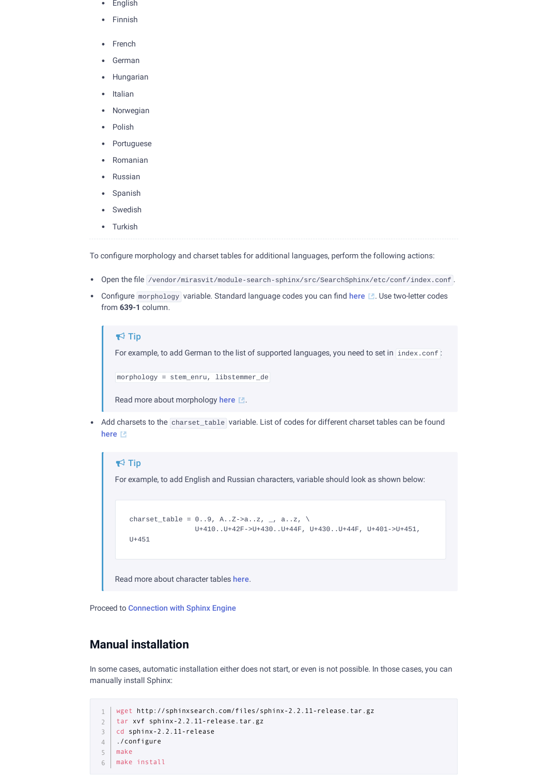- English
- Finnish
- French
- German
- Hungarian
- Italian
- Norwegian
- Polish
- Portuguese
- Romanian
- Russian
- Spanish
- Swedish
- Turkish

To configure morphology and charset tables for additional languages, perform the following actions:

- 
- Open the file /vendor/mirasvit/module-search-sphinx/src/SearchSphinx/etc/conf/index.conf.
- Configure morphology variable. Standard language codes you can find [here](http://en.wikipedia.org/wiki/List_of_ISO_639-1_codes) M. Use two-letter codes from **639-1** column.

```
For example, to add German to the list of supported languages, you need to set in index.conf:
morphology = stem_enru, libstemmer_de
\blacktriangleright Tip
```
Read more about morphology [here](http://sphinxsearch.com/docs/current/conf-morphology.html)  $\mathbb{R}$ .

• Add charsets to the charset\_table variable. List of codes for different charset tables can be found [here](http://sphinxsearch.com/wiki/doku.php?id=charset_tables) [2]

```
For example, to add English and Russian characters, variable should look as shown below:
    charset_table = 0..9, A..Z->a..z, _, a..z, \
                       U+410..U+42F->U+430..U+44F, U+430..U+44F, U+401->U+451,
   11+451Read more about character tables here.
\blacktriangleright Tip
```
Proceed to [Connection](#page-9-1) with Sphinx Engine

## **Manual installation**

In some cases, automatic installation either does not start, or even is not possible. In those cases, you can manually install Sphinx:

```
wget http://sphinxsearch.com/files/sphinx-2.2.11-release.tar.gz
1
2 | tar xvf sphinx-2.2.11-release.tar.gz
cd sphinx-2.2.11-release
3
  ./configure
make
5
make install
64
```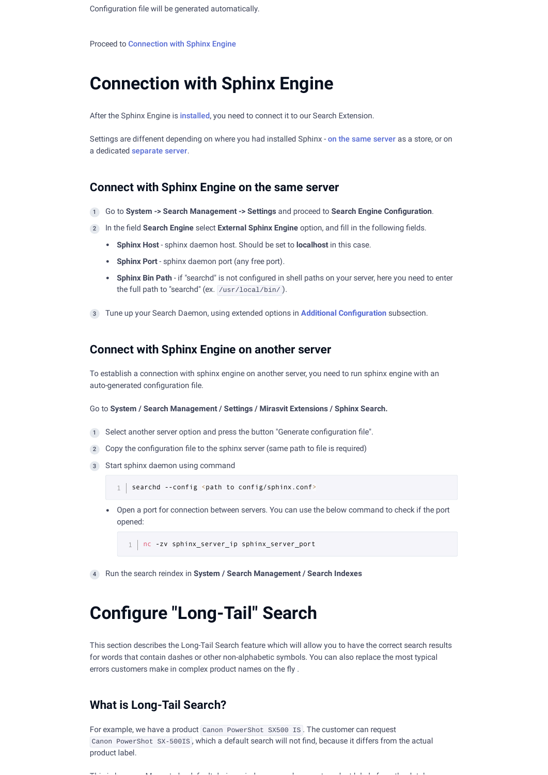## <span id="page-9-1"></span>**Connection with Sphinx Engine**

After the Sphinx Engine is [installed](#page-7-0), you need to connect it to our Search Extension.

Settings are diffenent depending on where you had installed Sphinx - on the same [server](#page-9-2) as a store, or on a dedicated [separate](#page-9-3) server.

### <span id="page-9-2"></span>**Connect with Sphinx Engine on the same server**

- 1 Go to **System -> Search Management -> Settings** and proceed to **Search Engine Conguration**.
- 2) In the field Search Engine select External Sphinx Engine option, and fill in the following fields.
	- **Sphinx Host** sphinx daemon host. Should be set to **localhost** in this case.
	- **Sphinx Port** sphinx daemon port (any free port).
	- Sphinx Bin Path if "searchd" is not configured in shell paths on your server, here you need to enter the full path to "searchd" (ex. /usr/local/bin/).
- 3 Tune up your Search Daemon, using extended options in **Additional Conguration** subsection.

### <span id="page-9-3"></span>**Connect with Sphinx Engine on another server**

To establish a connection with sphinx engine on another server, you need to run sphinx engine with an auto-generated configuration file.

#### Go to **System / Search Management / Settings / Mirasvit Extensions / Sphinx Search.**

- 1 Select another server option and press the button "Generate configuration file".
- $\Omega$  Copy the configuration file to the sphinx server (same path to file is required)
- Start sphinx daemon using command 3

```
1 | searchd --config <path to config/sphinx.conf>
```
Open a port for connection between servers. You can use the below command to check if the port opened:

1 | nc -zv sphinx\_server\_ip sphinx\_server\_port

4 Run the search reindex in **System / Search Management / Search Indexes**

## <span id="page-9-0"></span>**Congure "Long-Tail" Search**

This section describes the Long-Tail Search feature which will allow you to have the correct search results for words that contain dashes or other non-alphabetic symbols. You can also replace the most typical errors customers make in complex product names on the fly.

### **What is Long-Tail Search?**

For example, we have a product Canon PowerShot SX500 IS. The customer can request Canon PowerShot SX-500IS, which a default search will not find, because it differs from the actual product label.

This is the contribution of the first deviation of the contribution of the contribution of the distribution of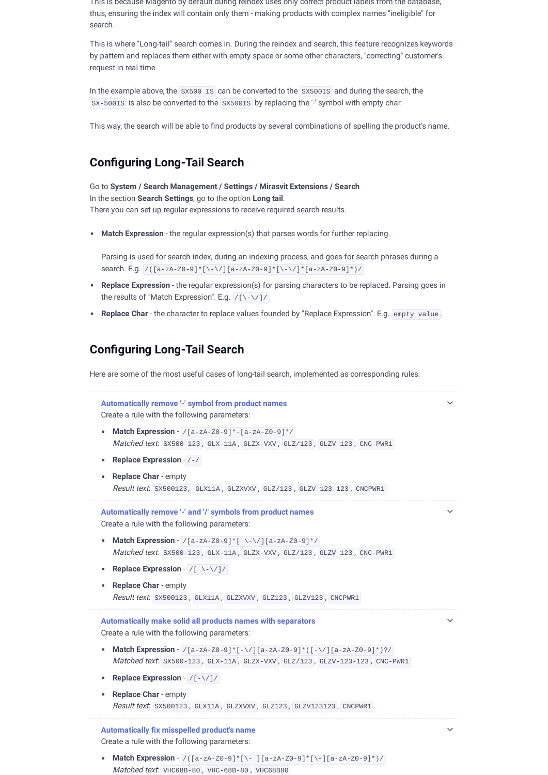This is because Magento by default during reindex uses only correct product labels from the database, thus, ensuring the index will contain only them -making products with complex names "ineligible" for search.

This is where "Long-tail" search comes in. During the reindex and search, this feature recognizes keywords by pattern and replaces them either with empty space or some other characters, "correcting" customer's request in real time.

In the example above, the SX500 IS can be converted to the SX500IS and during the search, the SX-500IS is also be converted to the SX500IS by replacing the '-' symbol with empty char.

This way, the search will be able to find products by several combinations of spelling the product's name.

## **Conguring Long-Tail Search**

Go to **System / Search Management / Settings / Mirasvit Extensions / Search** In the section **Search Settings**, go to the option **Long tail**. There you can set up regular expressions to receive required search results.

**Match Expression** - the regular expression(s) that parses words for further replacing.

Parsing is used for search index, during an indexing process, and goes for search phrases during a search. E.g. /([a-zA-Z0-9]\*[\-\/][a-zA-Z0-9]\*[\-\/]\*[a-zA-Z0-9]\*)/

- **Replace Expression** the regular expression(s) for parsing characters to be replaced. Parsing goes in the results of "Match Expression". E.g. /[\-\/]/
- **Replace Char** the character to replace values founded by "Replace Expression". E.g. empty value .

## **Conguring Long-Tail Search**

Here are some of the most useful cases of long-tail search, implemented as corresponding rules.

| Automatically remove '-' symbol from product names<br>Create a rule with the following parameters:                                                                                                                                                      |  |
|---------------------------------------------------------------------------------------------------------------------------------------------------------------------------------------------------------------------------------------------------------|--|
| <b>Match Expression</b> - $/(a - zA - Z0 - 9)$ * - $[a - zA - Z0 - 9]$ */<br>$\bullet$<br>Matched text: SX500-123, GLX-11A, GLZX-VXV, GLZ/123, GLZV 123, CNC-PWR1                                                                                       |  |
| <b>Replace Expression - /-/</b><br>۰                                                                                                                                                                                                                    |  |
| <b>Replace Char - empty</b><br>٠<br>Result text. SX500123, GLX11A, GLZXVXV, GLZ/123, GLZV-123-123, CNCPWR1                                                                                                                                              |  |
| Automatically remove '-' and '/' symbols from product names<br>Create a rule with the following parameters:                                                                                                                                             |  |
| Match Expression - $/[a-zA-Z0-9]^*$ [ \-\/] [a-zA-Z0-9] */<br>Matched text. SX500-123, GLX-11A, GLZX-VXV, GLZ/123, GLZV 123, CNC-PWR1                                                                                                                   |  |
| <b>Replace Expression - <math>/( \ \ \ \ \ \ \ \ \ \ \</math></b><br>٠                                                                                                                                                                                  |  |
| <b>Replace Char</b> - empty<br>٠<br>Result text. SX500123, GLX11A, GLZXVXV, GLZ123, GLZV123, CNCPWR1                                                                                                                                                    |  |
| Automatically make solid all products names with separators<br>Create a rule with the following parameters:                                                                                                                                             |  |
| <b>Match Expression</b> - $/[a-zA-z0-9]*[-\sqrt{[(a-zA-z0-9]*([-\sqrt{[(a-zA-z0-9]*})?]}]$<br>٠<br>Matched text. SX500-123, GLX-11A, GLZX-VXV, GLZ/123, GLZV-123-123, CNC-PWR1                                                                          |  |
| Replace Expression - /[-\/]/<br>٠                                                                                                                                                                                                                       |  |
| <b>Replace Char - empty</b><br>٠<br>Result text. SX500123, GLX11A, GLZXVXV, GLZ123, GLZV123123, CNCPWR1                                                                                                                                                 |  |
| <b>Automatically fix misspelled product's name</b><br>Create a rule with the following parameters:<br>$\mathbf{r}$ , and $\mathbf{r}$ , and $\mathbf{r}$ , and $\mathbf{r}$ , and $\mathbf{r}$ , and $\mathbf{r}$ , and $\mathbf{r}$ , and $\mathbf{r}$ |  |

**Match Expression** - /([a-zA-Z0-9]\*[\- ][a-zA-Z0-9]\*[\-][a-zA-Z0-9]\*)/ Matched text: VHC68B-80 , VHC-68B-80 , VHC68B80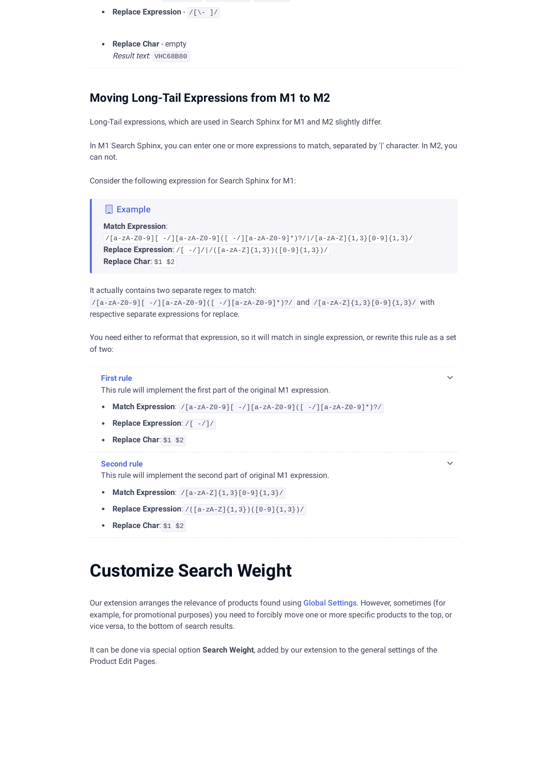- **Replace Expression** /[\- ]/
- **Replace Char** empty Result text: VHC68B80

### **Moving Long-Tail Expressions from M1 to M2**

Long-Tail expressions, which are used in Search Sphinx for M1 and M2 slightly differ.

In M1 Search Sphinx, you can enter one or more expressions to match, separated by '|' character. In M2, you can not.

Consider the following expression for Search Sphinx for M1:



**Replace Char**: \$1 \$2

## <span id="page-11-0"></span>**Customize Search Weight**

Our extension arranges the relevance of products found using Global [Settings](#page-2-0). However, sometimes (for example, for promotional purposes) you need to forcibly move one or more specific products to the top, or vice versa, to the bottom of search results.

It can be done via special option **Search Weight**, added by our extension to the general settings of the Product Edit Pages.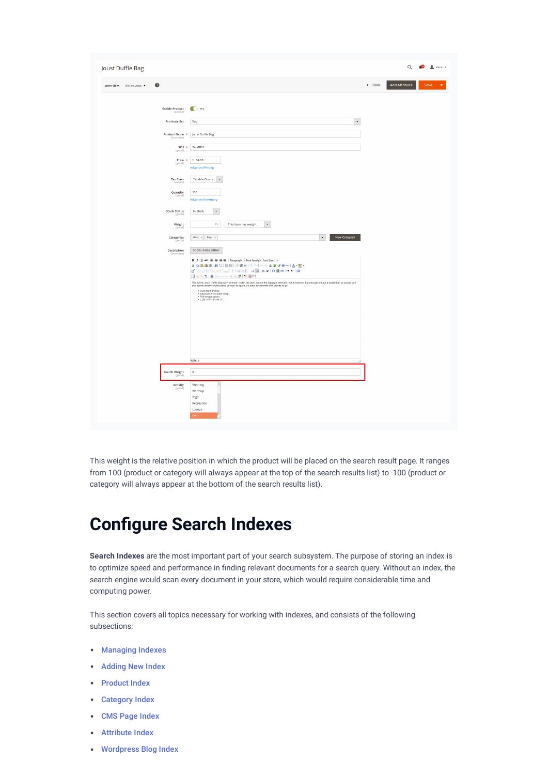| Joust Duffle Bag                         |                                                                                                                                                                                                                                  |                   |                      | Q <b>40 1</b> admin + |
|------------------------------------------|----------------------------------------------------------------------------------------------------------------------------------------------------------------------------------------------------------------------------------|-------------------|----------------------|-----------------------|
| $\bullet$<br>Store View: All Store Views |                                                                                                                                                                                                                                  | $\leftarrow$ Back | <b>Add Attribute</b> | Save                  |
| <b>Enable Product</b>                    | ● Yes                                                                                                                                                                                                                            |                   |                      |                       |
| <b>Attribute Set</b>                     | $\overline{\phantom{a}}$<br>Bag                                                                                                                                                                                                  |                   |                      |                       |
| Product Name *<br>[store view]           | Joust Duffle Bag                                                                                                                                                                                                                 |                   |                      |                       |
|                                          | 24-MB01<br>SKU *<br>[global]                                                                                                                                                                                                     |                   |                      |                       |
|                                          | \$34.00<br>Price *                                                                                                                                                                                                               |                   |                      |                       |
|                                          | [global]<br><b>Advanced Pricing</b>                                                                                                                                                                                              |                   |                      |                       |
| <b>Tax Class</b>                         | <b>Taxable Goods</b><br>$\mathbf{v}$                                                                                                                                                                                             |                   |                      |                       |
| <b>Quantity</b><br>[global]              | 100                                                                                                                                                                                                                              |                   |                      |                       |
|                                          | <b>Advanced Inventory</b>                                                                                                                                                                                                        |                   |                      |                       |
| <b>Stock Status</b><br>[glo              | In Stock<br>$\mathbf v$                                                                                                                                                                                                          |                   |                      |                       |
| Weight<br>[global]                       | Ibs<br>This item has weight<br>$\ ^{\ast}$                                                                                                                                                                                       |                   |                      |                       |
| Categories                               | New Category<br>Gear $\times$ Bags $\times$<br>$\mathbf{v}$                                                                                                                                                                      |                   |                      |                       |
| <b>Description</b><br>[sto               | Show / Hide Editor                                                                                                                                                                                                               |                   |                      |                       |
|                                          | B / U ##   # #   Paragraph * Font Family * Font Size *<br>X 石高山白 出信 田田 田田 4 の 0 0 0 0 0 1 至 4 0 m   A · 2 ·                                                                                                                      |                   |                      |                       |
|                                          | はももも   41   en en en A A 2   T 国出                                                                                                                                                                                                |                   |                      |                       |
|                                          | The sporty Joust Duffle Bag can't be beat - not in the gym, not on the luggage carousel, not anywhere. Big enough to haul a basketball or soccer ball<br>and some sneakers with plenty of room to spare, it's ideal for athletes |                   |                      |                       |
|                                          | • Dual top handles.<br>• Adjustable shoulder strap.<br>• Full-length zipper.<br>• L 29" x W 13" x H 11".                                                                                                                         |                   |                      |                       |
|                                          |                                                                                                                                                                                                                                  |                   |                      |                       |
|                                          |                                                                                                                                                                                                                                  |                   |                      |                       |
|                                          |                                                                                                                                                                                                                                  |                   |                      |                       |
|                                          |                                                                                                                                                                                                                                  |                   |                      |                       |
|                                          | Path: p                                                                                                                                                                                                                          |                   |                      |                       |
| Search Weight<br><b>In</b>               | $\bullet$                                                                                                                                                                                                                        |                   |                      |                       |
| Activity                                 | Running                                                                                                                                                                                                                          |                   |                      |                       |
| <b>Igloba</b>                            | Warmup<br>Yoga                                                                                                                                                                                                                   |                   |                      |                       |
|                                          | Recreation<br>Lounge                                                                                                                                                                                                             |                   |                      |                       |
|                                          | Gym                                                                                                                                                                                                                              |                   |                      |                       |

This weight is the relative position in which the product will be placed on the search result page. It ranges from 100 (product or category will always appear at the top of the search results list) to -100 (product or category will always appear at the bottom of the search results list).

## <span id="page-12-1"></span>**Congure Search Indexes**

**Search Indexes** are the most important part of your search subsystem. The purpose of storing an index is to optimize speed and performance in finding relevant documents for a search query. Without an index, the search engine would scan every document in your store, which would require considerable time and computing power.

This section covers all topics necessary for working with indexes, and consists of the following subsections:

- [Managing](#page-12-0) Indexes
- [Adding](#page-13-0) New Index
- [Product](#page-14-0) Index
- [Category](#page-14-1) Index
- CMS Page [Index](#page-14-2)
- [Attribute](#page-15-0) Index
- <span id="page-12-0"></span>[Wordpress](#page-12-1) Blog Index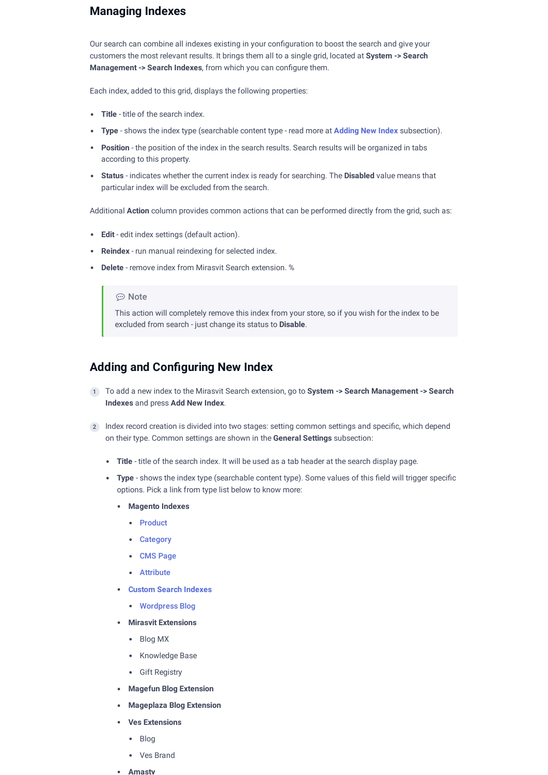## **Managing Indexes**

Our search can combine all indexes existing in your configuration to boost the search and give your customers the most relevant results. It brings them all to a single grid, located at **System -> Search Management -> Search Indexes**, from which you can configure them.

Each index, added to this grid, displays the following properties:

- **Title** title of the search index.
- **Type** shows the index type (searchable content type read more at **Adding New Index** subsection).
- **Position** the position of the index in the search results. Search results will be organized in tabs according to this property.
- **Status** indicates whether the current index is ready for searching. The **Disabled** value means that particular index will be excluded from the search.

Additional **Action** column provides common actions that can be performed directly from the grid, such as:

- **Edit** edit index settings (default action).
- **Reindex** run manual reindexing for selected index.
- **Delete** remove index from Mirasvit Search extension. %

#### ⊕ Note

This action will completely remove this index from your store, so if you wish for the index to be excluded from search - just change its status to **Disable**.

## <span id="page-13-0"></span>**Adding and Conguring New Index**

- To add a new index to the Mirasvit Search extension, go to **System -> Search Management -> Search** 1 **Indexes** and press **Add New Index**.
- 2) Index record creation is divided into two stages: setting common settings and specific, which depend on their type. Common settings are shown in the **General Settings** subsection:
	- **Title** title of the search index. It will be used as a tab header at the search display page.
	- Type shows the index type (searchable content type). Some values of this field will trigger specific options. Pick a link from type list below to know more:
		- **Magento Indexes**
			- [Product](#page-14-0)
			- [Category](#page-14-1)
			- CMS [Page](#page-14-2)
			- [Attribute](#page-15-0)
		- **Custom Search [Indexes](#page-16-1)**
			- [Wordpress](#page-12-1) Blog
		- **Mirasvit Extensions**
			- Blog MX
			- Knowledge Base
			- Gift Registry
		- **Magefun Blog Extension**
		- **Mageplaza Blog Extension**
		- **Ves Extensions**
			- Blog
			- Ves Brand
		- **Amasty**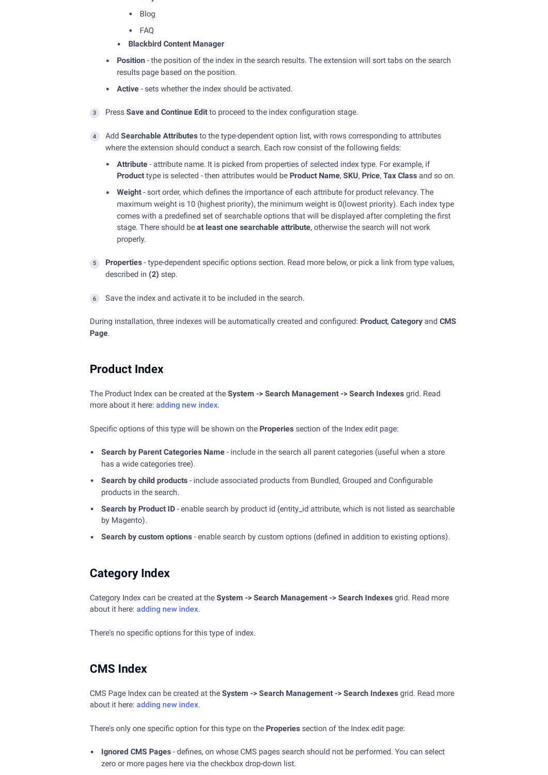- **asty**
- Blog
- $\bullet$  FAO
- **Blackbird Content Manager**
- **Position** the position of the index in the search results. The extension will sort tabs on the search results page based on the position.
- **Active** sets whether the index should be activated.
- 3 Press **Save and Continue Edit** to proceed to the index conguration stage.
- Add **Searchable Attributes** to the type-dependent option list, with rows corresponding to attributes 4 where the extension should conduct a search. Each row consist of the following fields:
	- **Attribute** attribute name. It is picked from properties of selected index type. For example, if **Product** type is selected - then attributes would be **Product Name**, **SKU**, **Price**, **Tax Class** and so on.
	- Weight sort order, which defines the importance of each attribute for product relevancy. The maximum weight is 10 (highest priority), the minimum weight is 0(lowest priority). Each index type comes with a predefined set of searchable options that will be displayed after completing the first stage. There should be **at least one searchable attribute**, otherwise the search will not work properly.
- 5) Properties type-dependent specific options section. Read more below, or pick a link from type values, described in **(2)** step.
- 6 Save the index and activate it to be included in the search.

During installation, three indexes will be automatically created and congured: **Product**, **Category** and **CMS Page**.

## <span id="page-14-0"></span>**Product Index**

The Product Index can be created at the **System -> Search Management -> Search Indexes** grid. Read more about it here: [adding](#page-13-0) new index.

Specific options of this type will be shown on the **Properies** section of the Index edit page:

- **Search by Parent Categories Name** include in the search all parent categories (useful when a store has a wide categories tree).
- **Search by child products** include associated products from Bundled, Grouped and Configurable products in the search.
- **Search by Product ID** enable search by product id (entity\_id attribute, which is not listed as searchable by Magento).
- **Search by custom options** enable search by custom options (defined in addition to existing options).

### <span id="page-14-1"></span>**Category Index**

Category Index can be created at the **System -> Search Management -> Search Indexes** grid. Read more about it here: [adding](#page-13-0) new index.

There's no specific options for this type of index.

## <span id="page-14-2"></span>**CMS Index**

CMS Page Index can be created at the **System -> Search Management -> Search Indexes** grid. Read more about it here: [adding](#page-13-0) new index.

There's only one specific option for this type on the **Properies** section of the Index edit page:

**Ignored CMS Pages** - defines, on whose CMS pages search should not be performed. You can select zero or more pages here via the checkbox drop-down list.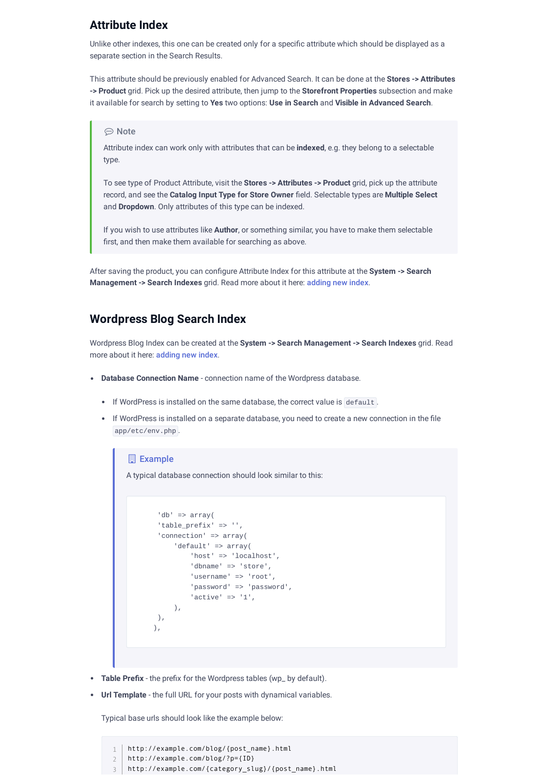## <span id="page-15-0"></span>**Attribute Index**

Unlike other indexes, this one can be created only for a specific attribute which should be displayed as a separate section in the Search Results.

This attribute should be previously enabled for Advanced Search. It can be done at the **Stores -> Attributes -> Product** grid. Pick up the desired attribute, then jump to the **Storefront Properties** subsection and make it available for search by setting to **Yes** two options: **Use in Search** and **Visible in Advanced Search**.

#### **⊙** Note

Attribute index can work only with attributes that can be **indexed**, e.g. they belong to a selectable type.

To see type of Product Attribute, visit the **Stores -> Attributes -> Product** grid, pick up the attribute record, and see the **Catalog Input Type for Store Owner** eld. Selectable types are **Multiple Select** and **Dropdown**. Only attributes of this type can be indexed.

If you wish to use attributes like **Author**, or something similar, you have to make them selectable first, and then make them available for searching as above.

After saving the product, you can configure Attribute Index for this attribute at the **System -> Search Management -> Search Indexes** grid. Read more about it here: adding new index.

### **Wordpress Blog Search Index**

Wordpress Blog Index can be created at the **System -> Search Management -> Search Indexes** grid. Read more about it here: adding new index.

- **Database Connection Name** connection name of the Wordpress database.
	- If WordPress is installed on the same database, the correct value is default .
	- If WordPress is installed on a separate database, you need to create a new connection in the file app/etc/env.php .

#### **Example**

A typical database connection should look similar to this:

```
 'db' => array(
  'table_prefix' => '',
  'connection' => array(
     'default' => array(
          'host' => 'localhost',
          'dbname' => 'store',
         'username' => 'root',
          'password' => 'password',
         'active' => '1',
     ),
 ),
 ),
```
- Table Prefix the prefix for the Wordpress tables (wp\_ by default).
- **Url Template** the full URL for your posts with dynamical variables.

Typical base urls should look like the example below:

http://example.com/blog/{post\_name}.html http://example.com/blog/?p={ID} http://example.com/{category\_slug}/{post\_name}.html 1 2 3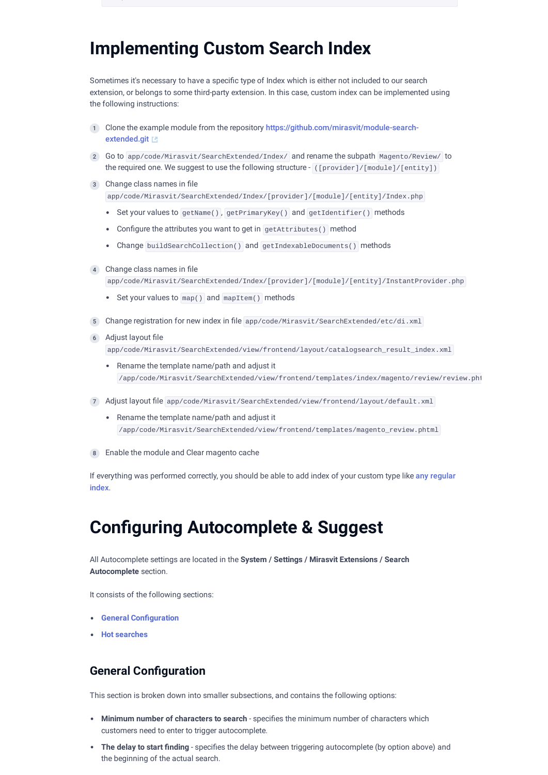## <span id="page-16-1"></span>**Implementing Custom Search Index**

Sometimes it's necessary to have a specific type of Index which is either not included to our search extension, or belongs to some third-party extension. In this case, custom index can be implemented using the following instructions:

- 1) Clone the example module from the repository [https://github.com/mirasvit/module-search](https://github.com/mirasvit/module-search-extended.git)extended.git
- 2) Go to app/code/Mirasvit/SearchExtended/Index/ and rename the subpath Magento/Review/ to the required one. We suggest to use the following structure - ([provider]/[module]/[entity])
- 3) Change class names in file app/code/Mirasvit/SearchExtended/Index/[provider]/[module]/[entity]/Index.php
	- Set your values to getName(), getPrimaryKey() and getIdentifier() methods
	- Configure the attributes you want to get in getAttributes() method
	- Change buildSearchCollection() and getIndexableDocuments() methods
- 4 Change class names in file app/code/Mirasvit/SearchExtended/Index/[provider]/[module]/[entity]/InstantProvider.php
	- Set your values to map() and mapItem() methods
- 5 Change registration for new index in file app/code/Mirasvit/SearchExtended/etc/di.xml
- 6 Adjust layout file app/code/Mirasvit/SearchExtended/view/frontend/layout/catalogsearch\_result\_index.xml
	- Rename the template name/path and adjust it /app/code/Mirasvit/SearchExtended/view/frontend/templates/index/magento/review/review.pht
- 7) Adjust layout file app/code/Mirasvit/SearchExtended/view/frontend/layout/default.xml
	- Rename the template name/path and adjust it /app/code/Mirasvit/SearchExtended/view/frontend/templates/magento\_review.phtml
- 8 Enable the module and Clear magento cache

If everything was [performed](#page-13-0) correctly, you should be able to add index of your custom type like any regular index.

## <span id="page-16-0"></span>**Configuring Autocomplete & Suggest**

All Autocomplete settings are located in the **System / Settings / Mirasvit Extensions / Search Autocomplete** section.

It consists of the following sections:

- **•** General **Configuration**
- **Hot [searches](#page-18-1)**

## <span id="page-16-2"></span>**General Configuration**

This section is broken down into smaller subsections, and contains the following options:

- **Minimum number of characters to search** specifies the minimum number of characters which customers need to enter to trigger autocomplete.
- The delay to start finding specifies the delay between triggering autocomplete (by option above) and the beginning of the actual search.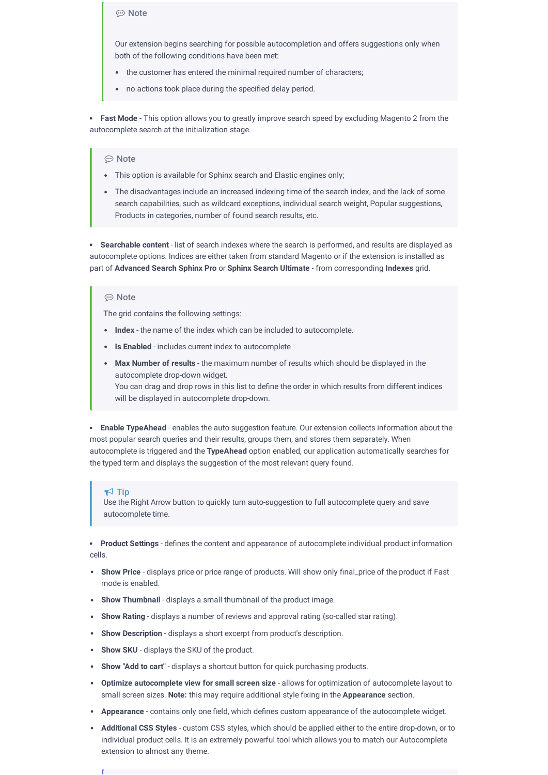#### ⊕ Note

Our extension begins searching for possible autocompletion and offers suggestions only when both of the following conditions have been met:

- the customer has entered the minimal required number of characters;
- no actions took place during the specified delay period.

**Fast Mode** - This option allows you to greatly improve search speed by excluding Magento 2 from the autocomplete search at the initialization stage.

#### ⊕ Note

- This option is available for Sphinx search and Elastic engines only;
- The disadvantages include an increased indexing time of the search index, and the lack of some search capabilities, such as wildcard exceptions, individual search weight, Popular suggestions, Products in categories, number of found search results, etc.

**Searchable content** - list of search indexes where the search is performed, and results are displayed as autocomplete options. Indices are either taken from standard Magento or if the extension is installed as part of **Advanced Search Sphinx Pro** or **Sphinx Search Ultimate** - from corresponding **Indexes** grid.

### **⊕** Note

The grid contains the following settings:

- **Index** the name of the index which can be included to autocomplete.
- **Is Enabled** includes current index to autocomplete
- **Max Number of results** the maximum number of results which should be displayed in the autocomplete drop-down widget. You can drag and drop rows in this list to define the order in which results from different indices will be displayed in autocomplete drop-down.

**Enable TypeAhead** - enables the auto-suggestion feature. Our extension collects information about the most popular search queries and their results, groups them, and stores them separately. When autocomplete is triggered and the **TypeAhead** option enabled, our application automatically searches for the typed term and displays the suggestion of the most relevant query found.

#### $\blacktriangle$  Tin

Use the Right Arrow button to quickly turn auto-suggestion to full autocomplete query and save autocomplete time.

**Product Settings** - defines the content and appearance of autocomplete individual product information cells.

- Show Price displays price or price range of products. Will show only final\_price of the product if Fast mode is enabled.
- **Show Thumbnail** displays a small thumbnail of the product image.
- **Show Rating** displays a number of reviews and approval rating (so-called star rating).
- **Show Description** displays a short excerpt from product's description.
- **Show SKU** displays the SKU of the product.
- **Show "Add to cart"** displays a shortcut button for quick purchasing products.
- **Optimize autocomplete view for small screen size** allows for optimization of autocomplete layout to small screen sizes. Note: this may require additional style fixing in the Appearance section.
- **Appearance** contains only one field, which defines custom appearance of the autocomplete widget.
- **Additional CSS Styles** custom CSS styles, which should be applied either to the entire drop-down, or to individual product cells. It is an extremely powerful tool which allows you to match our Autocomplete extension to almost any theme.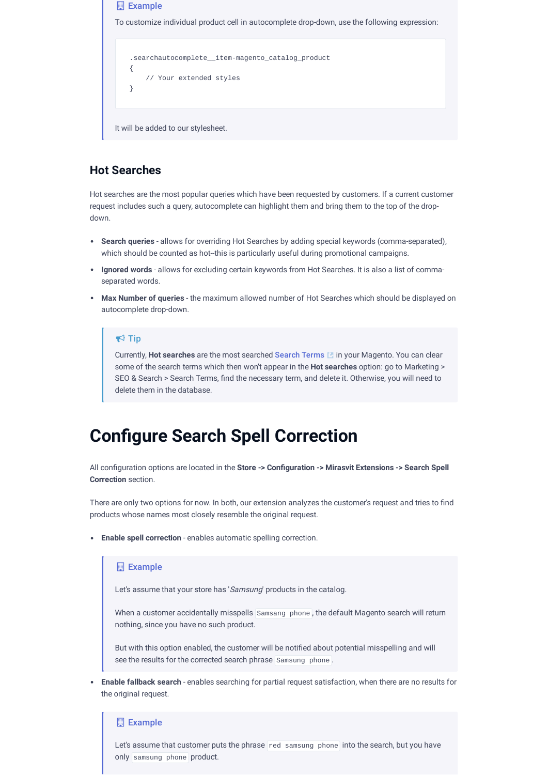

## <span id="page-18-1"></span>**Hot Searches**

Hot searches are the most popular queries which have been requested by customers. If a current customer request includes such a query, autocomplete can highlight them and bring them to the top of the dropdown.

- **Search queries** allows for overriding Hot Searches by adding special keywords (comma-separated), which should be counted as hot-this is particularly useful during promotional campaigns.
- **Ignored words** allows for excluding certain keywords from Hot Searches. It is also a list of commaseparated words.
- **Max Number of queries** the maximum allowed number of Hot Searches which should be displayed on autocomplete drop-down.

### $\blacktriangleright$  Tip

Currently, **Hot searches** are the most searched [Search](https://docs.magento.com/user-guide/marketing/search-terms-popular.html) Terms in your Magento. You can clear some of the search terms which then won't appear in the **Hot searches** option: go to Marketing > SEO & Search > Search Terms, find the necessary term, and delete it. Otherwise, you will need to delete them in the database.

## <span id="page-18-0"></span>**Congure Search Spell Correction**

All conguration options are located in the **Store -> Conguration -> Mirasvit Extensions -> Search Spell Correction** section.

There are only two options for now. In both, our extension analyzes the customer's request and tries to find products whose names most closely resemble the original request.

**Enable spell correction** - enables automatic spelling correction.

#### **Example**

Let's assume that your store has 'Samsung' products in the catalog.

When a customer accidentally misspells Samsang phone , the default Magento search will return nothing, since you have no such product.

But with this option enabled, the customer will be notified about potential misspelling and will see the results for the corrected search phrase Samsung phone .

**Enable fallback search** - enables searching for partial request satisfaction, when there are no results for the original request.

### **Example**

Let's assume that customer puts the phrase red samsung phone into the search, but you have only samsung phone product.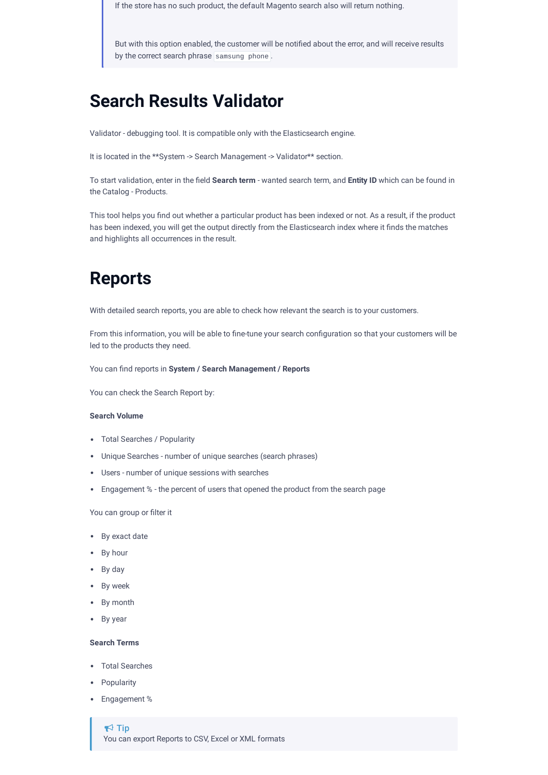If the store has no such product, the default Magento search also will return nothing.

But with this option enabled, the customer will be notified about the error, and will receive results by the correct search phrase samsung phone.

## **Search Results Validator**

Validator - debugging tool. It is compatible only with the Elasticsearch engine.

It is located in the \*\*System -> Search Management -> Validator\*\* section.

To start validation, enter in the eld **Search term** -wanted search term, and **Entity ID** which can be found in the Catalog - Products.

This tool helps you find out whether a particular product has been indexed or not. As a result, if the product has been indexed, you will get the output directly from the Elasticsearch index where it finds the matches and highlights all occurrences in the result.

## <span id="page-19-1"></span>**Reports**

With detailed search reports, you are able to check how relevant the search is to your customers.

From this information, you will be able to fine-tune your search configuration so that your customers will be led to the products they need.

You can find reports in **System** / **Search Management** / **Reports** 

You can check the Search Report by:

#### **Search Volume**

- Total Searches / Popularity
- Unique Searches number of unique searches (search phrases)
- Users number of unique sessions with searches
- Engagement % the percent of users that opened the product from the search page

#### You can group or filter it

- By exact date
- By hour
- By day
- By week
- By month
- By year

#### **Search Terms**

- Total Searches
- Popularity
- <span id="page-19-0"></span>Engagement %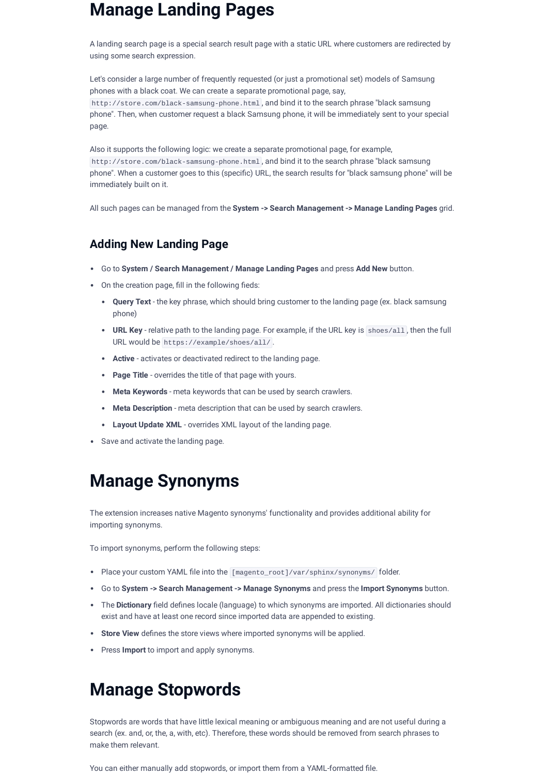## **Manage Landing Pages**

A landing search page is a special search result page with a static URL where customers are redirected by using some search expression.

Let's consider a large number of frequently requested (or just a promotional set) models of Samsung phones with a black coat. We can create a separate promotional page, say, http://store.com/black-samsung-phone.html , and bind it to the search phrase "black samsung phone". Then, when customer request a black Samsung phone, it will be immediately sent to your special page.

Also it supports the following logic: we create a separate promotional page, for example, http://store.com/black-samsung-phone.html , and bind it to the search phrase "black samsung phone". When a customer goes to this (specific) URL, the search results for "black samsung phone" will be immediately built on it.

All such pages can be managed from the **System -> Search Management -> Manage Landing Pages** grid.

## **Adding New Landing Page**

- Go to **System / Search Management / Manage Landing Pages** and press **Add New** button.
- $\bullet$  On the creation page, fill in the following fieds:
	- **Query Text** the key phrase, which should bring customer to the landing page (ex. black samsung phone)
	- **URL Key** relative path to the landing page. For example, if the URL key is shoes/all , then the full URL would be https://example/shoes/all/ .
	- **Active** activates or deactivated redirect to the landing page.
	- **Page Title** overrides the title of that page with yours.
	- **Meta Keywords** meta keywords that can be used by search crawlers.
	- **Meta Description** meta description that can be used by search crawlers.
	- **Layout Update XML** overrides XML layout of the landing page.
- Save and activate the landing page.

## <span id="page-20-1"></span>**Manage Synonyms**

The extension increases native Magento synonyms' functionality and provides additional ability for importing synonyms.

To import synonyms, perform the following steps:

- Place your custom YAML file into the [magento\_root]/var/sphinx/synonyms/ folder.
- Go to **System -> Search Management -> Manage Synonyms** and press the **Import Synonyms** button.
- . The Dictionary field defines locale (language) to which synonyms are imported. All dictionaries should exist and have at least one record since imported data are appended to existing.
- **Store View** defines the store views where imported synonyms will be applied.
- Press **Import** to import and apply synonyms.

## <span id="page-20-0"></span>**Manage Stopwords**

Stopwords are words that have little lexical meaning or ambiguous meaning and are not useful during a search (ex. and, or, the, a, with, etc). Therefore, these words should be removed from search phrases to make them relevant.

You can either manually add stopwords, or import them from a YAML-formatted file.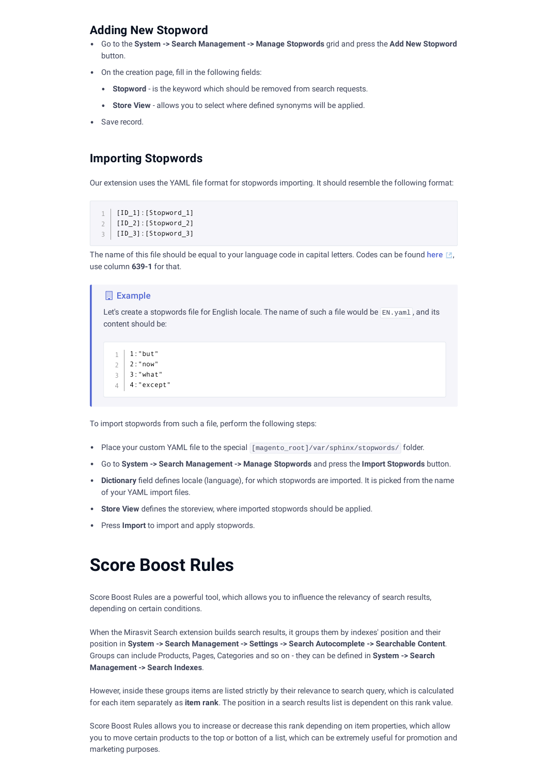## **Adding New Stopword**

- Go to the **System -> Search Management -> Manage Stopwords** grid and press the **Add New Stopword** button.
- On the creation page, fill in the following fields:
	- **Stopword** is the keyword which should be removed from search requests.
	- Store View allows you to select where defined synonyms will be applied.
- Save record.

### <span id="page-21-0"></span>**Importing Stopwords**

Our extension uses the YAML file format for stopwords importing. It should resemble the following format:

```
1 [ID_1]:[Stopword_1]
```
- 2 | [ID\_2]:[Stopword\_2]
- 3 | [ID\_3]:[Stopword\_3]

The name of this file should be equal to your language code in capital letters. Codes can be found [here](https://en.wikipedia.org/wiki/List_of_ISO_639-1_codes)  $\mathbb{E}$ , use column **639-1** for that.

### Example

Let's create a stopwords file for English locale. The name of such a file would be EN.yaml, and its content should be:

```
1 | 1:"but"
2 \mid 2:"now"
3:"what"
3
4 | 4:"except"
```
To import stopwords from such a file, perform the following steps:

- Place your custom YAML file to the special [magento\_root]/var/sphinx/stopwords/ folder.
- Go to **System -> Search Management -> Manage Stopwords** and press the **Import Stopwords** button.
- Dictionary field defines locale (language), for which stopwords are imported. It is picked from the name of your YAML import files.
- **Store View** defines the storeview, where imported stopwords should be applied.
- Press **Import** to import and apply stopwords.

## **Score Boost Rules**

Score Boost Rules are a powerful tool, which allows you to influence the relevancy of search results, depending on certain conditions.

When the Mirasvit Search extension builds search results, it groups them by indexes' position and their position in **System -> Search Management -> Settings -> Search Autocomplete -> Searchable Content**. Groups can include Products, Pages, Categories and so on - they can be dened in **System -> Search Management -> Search Indexes**.

However, inside these groups items are listed strictly by their relevance to search query, which is calculated for each item separately as **item rank**. The position in a search results list is dependent on this rank value.

Score Boost Rules allows you to increase or decrease this rank depending on item properties, which allow you to move certain products to the top or botton of a list, which can be extremely useful for promotion and marketing purposes.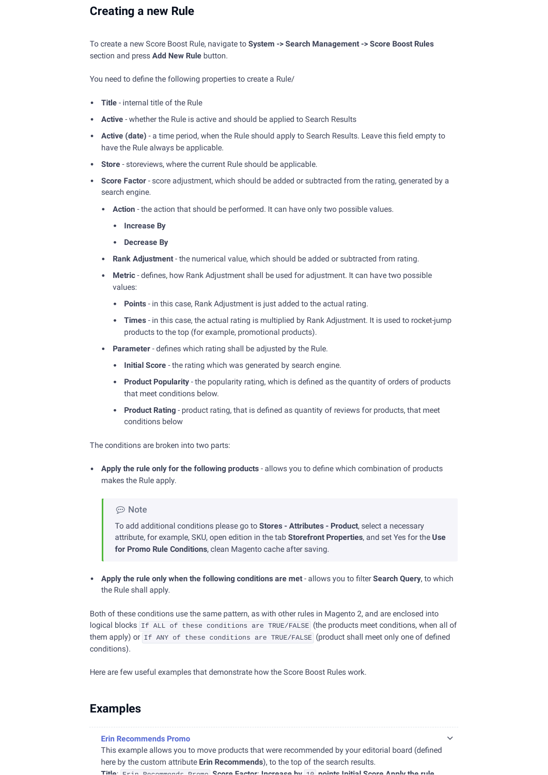## **Creating a new Rule**

To create a new Score Boost Rule, navigate to **System -> Search Management -> Score Boost Rules** section and press **Add New Rule** button.

You need to define the following properties to create a Rule/

- **Title** internal title of the Rule
- **Active** whether the Rule is active and should be applied to Search Results
- Active (date) a time period, when the Rule should apply to Search Results. Leave this field empty to have the Rule always be applicable.
- **Store** storeviews, where the current Rule should be applicable.
- **Score Factor** score adjustment, which should be added or subtracted from the rating, generated by a search engine.
	- **Action** the action that should be performed. It can have only two possible values.
		- **Increase By**
		- **Decrease By**
	- **Rank Adjustment** the numerical value, which should be added or subtracted from rating.
	- Metric defines, how Rank Adjustment shall be used for adjustment. It can have two possible values:
		- **Points** in this case, Rank Adjustment is just added to the actual rating.
		- **Times** in this case, the actual rating is multiplied by Rank Adjustment. It is used to rocket-jump products to the top (for example, promotional products).
	- Parameter defines which rating shall be adjusted by the Rule.
		- **Initial Score** the rating which was generated by search engine.
		- Product Popularity the popularity rating, which is defined as the quantity of orders of products that meet conditions below.
		- **Product Rating** product rating, that is defined as quantity of reviews for products, that meet conditions below

The conditions are broken into two parts:

**Apply** the rule only for the following products - allows you to define which combination of products makes the Rule apply.

#### ⊕ Note

To add additional conditions please go to **Stores - Attributes - Product**, select a necessary attribute, for example, SKU, open edition in the tab **Storefront Properties**, and set Yes for the **Use for Promo Rule Conditions**, clean Magento cache after saving.

**•** Apply the rule only when the following conditions are met - allows you to filter Search Query, to which the Rule shall apply.

Both of these conditions use the same pattern, as with other rules in Magento 2, and are enclosed into logical blocks If ALL of these conditions are TRUE/FALSE (the products meet conditions, when all of them apply) or If ANY of these conditions are TRUE/FALSE (product shall meet only one of defined conditions).

Here are few useful examples that demonstrate how the Score Boost Rules work.

## **Examples**

**Erin Recommends Promo** This example allows you to move products that were recommended by your editorial board (defined here by the custom attribute **Erin Recommends**), to the top of the search results. **Title**: Erin Recommends Promo **Score Factor**: **Increase by** 10 **points Initial Score Apply the rule**

 $\checkmark$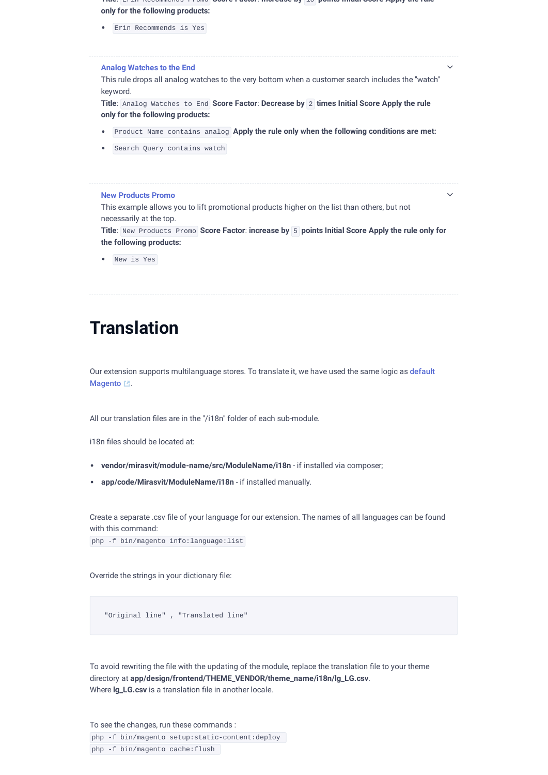**Title**: Erin Recommends Promo **Score Factor**: **Increase by** 10 **points Initial Score Apply the rule only for the following products:**

Erin Recommends is Yes

#### **Analog Watches to the End**

This rule drops all analog watches to the very bottom when a customer search includes the "watch" keyword.

 $\vee$ 

 $\vee$ 

**Title**: Analog Watches to End **Score Factor**: **Decrease by** 2 **times Initial Score Apply the rule only for the following products:**

- Product Name contains analog **Apply the rule only when the following conditions are met:**
- Search Query contains watch

#### **New Products Promo**

This example allows you to lift promotional products higher on the list than others, but not necessarily at the top.

**Title**: New Products Promo **Score Factor**: **increase by** 5 **points Initial Score Apply the rule only for the following products:**

New is Yes

## **Translation**

Our extension supports [multilanguage](https://devdocs.magento.com/guides/v2.3/frontend-dev-guide/translations/xlate.html) stores. To translate it, we have used the same logic as default Magento <sup>1</sup>.

All our translation files are in the "/i18n" folder of each sub-module.

i18n files should be located at:

- **vendor/mirasvit/module-name/src/ModuleName/i18n** if installed via composer;
- **app/code/Mirasvit/ModuleName/i18n** if installed manually.

Create a separate .csv file of your language for our extension. The names of all languages can be found with this command:

php -f bin/magento info:language:list

Override the strings in your dictionary file:

"Original line" , "Translated line"

To avoid rewriting the file with the updating of the module, replace the translation file to your theme directory at **app/design/frontend/THEME\_VENDOR/theme\_name/i18n/lg\_LG.csv**. Where **lg\_LG.csv** is a translation file in another locale.

To see the changes, run these commands : php -f bin/magento setup:static-content:deploy php -f bin/magento cache:flush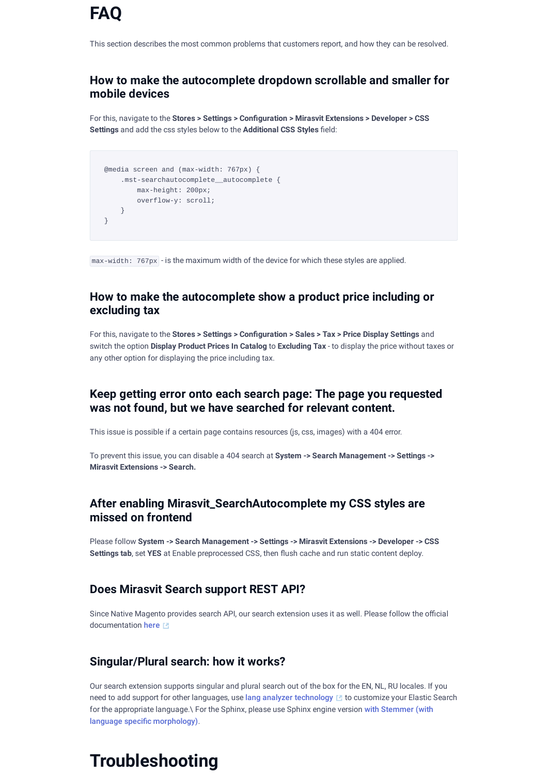This section describes the most common problems that customers report, and how they can be resolved.

## **How to make the autocomplete dropdown scrollable and smaller for mobile devices**

For this, navigate to the **Stores > Settings > Conguration > Mirasvit Extensions > Developer > CSS Settings** and add the css styles below to the **Additional CSS Styles** field:

```
@media screen and (max-width: 767px) {
    .mst-searchautocomplete__autocomplete {
        max-height: 200px;
        overflow-y: scroll;
    }
}
```
max-width: 767px - is the maximum width of the device for which these styles are applied.

## **How to make the autocomplete show a product price including or excluding tax**

For this, navigate to the **Stores > Settings > Conguration > Sales > Tax > Price Display Settings** and switch the option **Display Product Prices In Catalog** to **Excluding Tax** - to display the price without taxes or any other option for displaying the price including tax.

## **Keep getting error onto each search page: The page you requested was not found, but we have searched for relevant content.**

This issue is possible if a certain page contains resources (js, css, images) with a 404 error.

To prevent this issue, you can disable a 404 search at **System -> Search Management -> Settings -> Mirasvit Extensions -> Search.**

## **After enabling Mirasvit\_SearchAutocomplete my CSS styles are missed on frontend**

Please follow **System -> Search Management -> Settings -> Mirasvit Extensions -> Developer -> CSS** Settings tab, set YES at Enable preprocessed CSS, then flush cache and run static content deploy.

## **Does Mirasvit Search support REST API?**

Since Native Magento provides search API, our search extension uses it as well. Please follow the official documentation [here](https://devdocs.magento.com/guides/v2.4/rest/bk-rest.html)

## **Singular/Plural search: how it works?**

Our search extension supports singular and plural search out of the box for the EN, NL, RU locales. If you need to add support for other languages, use lang analyzer [technology](https://www.elastic.co/guide/en/elasticsearch/reference/current/analysis-lang-analyzer.html) L to customize your Elastic Search for the appropriate language.\ For the Sphinx, please use Sphinx engine version with Stemmer (with language specific [morphology\)](#page-7-0).

# **Troubleshooting**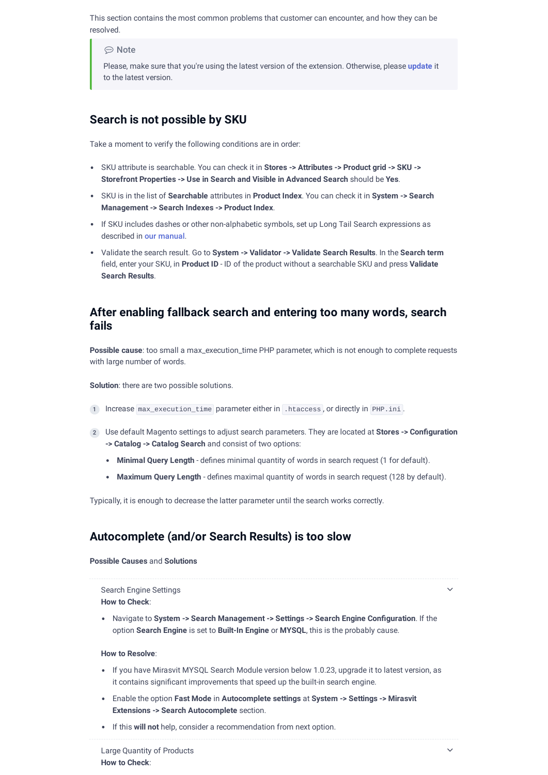This section contains the most common problems that customer can encounter, and how they can be resolved.

⊕ Note

Please, make sure that you're using the latest version of the extension. Otherwise, please **[update](#page-28-0)** it to the latest version.

## **Search is not possible by SKU**

Take a moment to verify the following conditions are in order:

- SKU attribute is searchable. You can check it in **Stores -> Attributes -> Product grid -> SKU -> Storefront Properties -> Use in Search and Visible in Advanced Search** should be **Yes**.
- SKU is in the list of **Searchable** attributes in **Product Index**. You can check it in **System -> Search Management -> Search Indexes -> Product Index**.
- If SKU includes dashes or other non-alphabetic symbols, set up Long Tail Search expressions as described in our [manual](#page-9-0).
- Validate the search result. Go to **System -> Validator -> Validate Search Results**. In the **Search term** field, enter your SKU, in **Product ID** - ID of the product without a searchable SKU and press Validate **Search Results**.

## **After enabling fallback search and entering too many words, search fails**

**Possible cause**: too small a max\_execution\_time PHP parameter, which is not enough to complete requests with large number of words.

**Solution**: there are two possible solutions.

- 1 Increase max execution time parameter either in .htaccess, or directly in PHP.ini.
- Use default Magento settings to adjust search parameters. They are located at **Stores -> Conguration** 2 **-> Catalog -> Catalog Search** and consist of two options:
	- **Minimal Query Length** defines minimal quantity of words in search request (1 for default).
	- Maximum Query Length defines maximal quantity of words in search request (128 by default).

Typically, it is enough to decrease the latter parameter until the search works correctly.

## **Autocomplete (and/or Search Results) is too slow**

#### **Possible Causes** and **Solutions**

## Search Engine Settings

**How to Check**:

Navigate to **System -> Search Management -> Settings -> Search Engine Conguration**. If the option **Search Engine** is set to **Built-In Engine** or **MYSQL**, this is the probably cause.

#### **How to Resolve**:

- If you have Mirasvit MYSQL Search Module version below 1.0.23, upgrade it to latest version, as it contains significant improvements that speed up the built-in search engine.
- Enable the option **Fast Mode** in **Autocomplete settings** at **System -> Settings -> Mirasvit Extensions -> Search Autocomplete** section.
- If this **will not** help, consider a recommendation from next option.

 $\vee$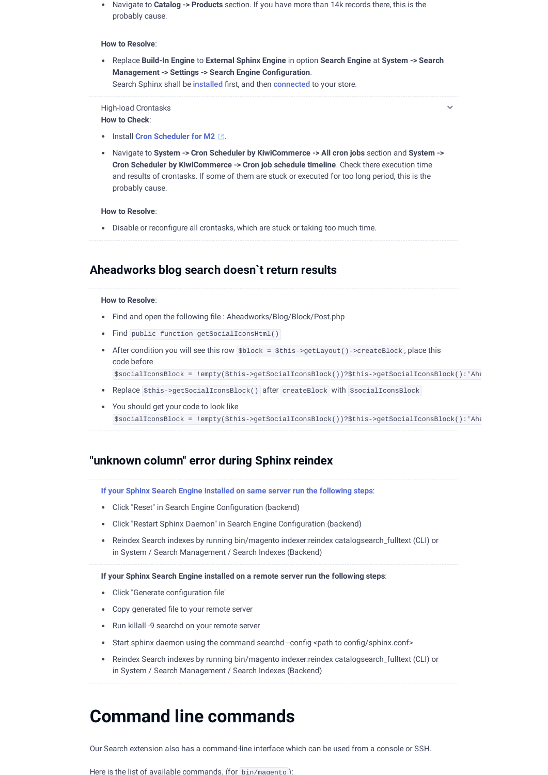Navigate to **Catalog -> Products** section. If you have more than 14k records there, this is the probably cause.

#### **How to Resolve**:

Replace **Build-In Engine** to **External Sphinx Engine** in option **Search Engine** at **System -> Search Management -> Settings -> Search Engine Conguration**. Search Sphinx shall be [installed](#page-7-0) first, and then [connected](#page-9-1) to your store.

 $\vee$ 

#### High-load Crontasks

**How to Check**:

- **Install Cron [Scheduler](https://github.com/kiwicommerce/magento2-cron-scheduler) for M2** ...
- Navigate to **System -> Cron Scheduler by KiwiCommerce -> All cron jobs** section and **System -> Cron Scheduler by KiwiCommerce -> Cron job schedule timeline**. Check there execution time and results of crontasks. If some of them are stuck or executed for too long period, this is the probably cause.

#### **How to Resolve**:

• Disable or reconfigure all crontasks, which are stuck or taking too much time.

### **Aheadworks blog search doesn`t return results**

#### **How to Resolve**:

- Find and open the following file : Aheadworks/Blog/Block/Post.php
- Find public function getSocialIconsHtml()
- After condition you will see this row \$block = \$this->getLayout()->createBlock , place this code before

\$socialIconsBlock = !empty(\$this->getSocialIconsBlock())?\$this->getSocialIconsBlock():'Ahe

- Replace \$this->getSocialIconsBlock() after createBlock with \$socialIconsBlock
- You should get your code to look like \$socialIconsBlock = !empty(\$this->getSocialIconsBlock())?\$this->getSocialIconsBlock():'Ahe

### **"unknown column" error during Sphinx reindex**

**If your Sphinx Search Engine installed on same server run the following steps**:

- Click "Reset" in Search Engine Configuration (backend)
- Click "Restart Sphinx Daemon" in Search Engine Configuration (backend)
- Reindex Search indexes by running bin/magento indexer:reindex catalogsearch\_fulltext (CLI) or in System / Search Management / Search Indexes (Backend)

**If your Sphinx Search Engine installed on a remote server run the following steps**:

- Click "Generate configuration file"
- Copy generated file to your remote server
- Run killall -9 searchd on your remote server
- Start sphinx daemon using the command searchd --config <path to config/sphinx.conf>
- Reindex Search indexes by running bin/magento indexer:reindex catalogsearch\_fulltext (CLI) or in System / Search Management / Search Indexes (Backend)

## <span id="page-26-0"></span>**Command line commands**

Our Search extension also has a command-line interface which can be used from a console or SSH.

Here is the list of available commands. (for hin/magento):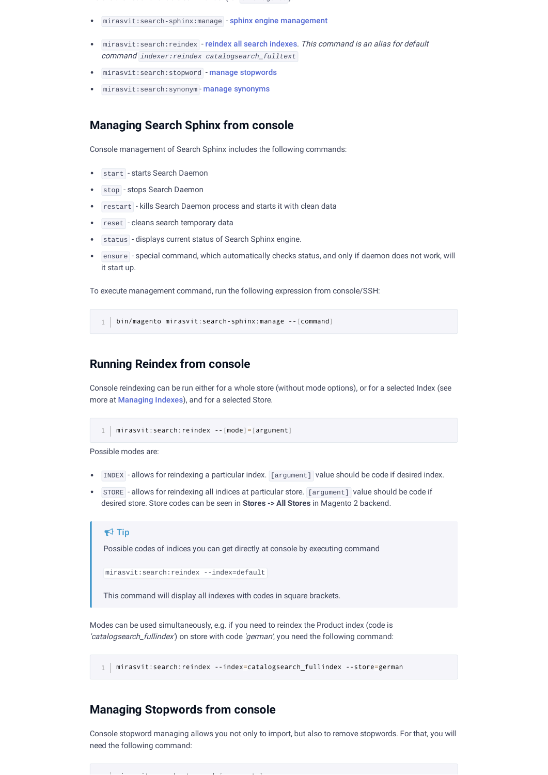e s t e st o b e st o b an an an age to de

- mirasvit:search-sphinx:manage sphinx engine [management](#page-27-0)
- mirasvit: search: reindex reindex all search [indexes](#page-27-1). This command is an alias for default command *indexer:reindex catalogsearch\_fulltext*
- mirasvit: search: stopword manage [stopwords](#page-27-2)
- mirasvit:search:synonym manage [synonyms](#page-28-1)

### <span id="page-27-0"></span>**Managing Search Sphinx from console**

Console management of Search Sphinx includes the following commands:

- start starts Search Daemon
- stop stops Search Daemon
- restart kills Search Daemon process and starts it with clean data
- reset cleans search temporary data
- status displays current status of Search Sphinx engine.
- ensure special command, which automatically checks status, and only if daemon does not work, will it start up.

To execute management command, run the following expression from console/SSH:

1 | bin/magento mirasvit:search-sphinx:manage --[command]

### <span id="page-27-1"></span>**Running Reindex from console**

Console reindexing can be run either for a whole store (without mode options), or for a selected Index (see more at Managing Indexes), and for a selected Store.

1 mirasvit:search:reindex --[mode]=[argument]

Possible modes are:

- INDEX allows for reindexing a particular index. [argument] value should be code if desired index.
- STORE allows for reindexing all indices at particular store. [argument] value should be code if desired store. Store codes can be seen in **Stores -> All Stores** in Magento 2 backend.

### $\blacktriangleright$  Tip

Possible codes of indices you can get directly at console by executing command

mirasvit:search:reindex --index=default

This command will display all indexes with codes in square brackets.

Modes can be used simultaneously, e.g. if you need to reindex the Product index (code is 'catalogsearch\_fullindex') on store with code 'german', you need the following command:

1 mirasvit:search:reindex --index=catalogsearch\_fullindex --store=german

### <span id="page-27-2"></span>**Managing Stopwords from console**

is the contract of the contract of the contract of the contract of the contract of the contract of the contract of the contract of the contract of the contract of the contract of the contract of the contract of the contra

Console stopword managing allows you not only to import, but also to remove stopwords. For that, you will need the following command: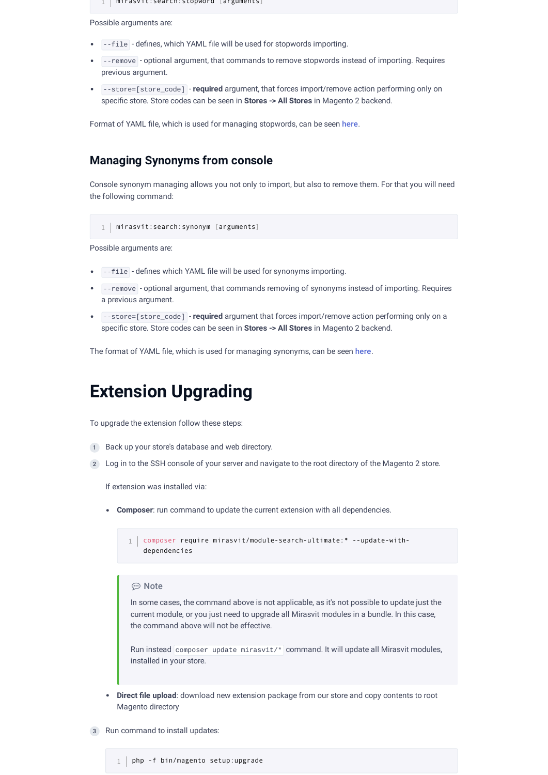1 mirasvit:search:stopword [arguments]

Possible arguments are:

- $\bullet$   $\left\lceil -\text{file} \right\rceil$  defines, which YAML file will be used for stopwords importing.
- --remove optional argument, that commands to remove stopwords instead of importing. Requires previous argument.
- --store=[store\_code] **required** argument, that forces import/remove action performing only on specific store. Store codes can be seen in **Stores** -> All Stores in Magento 2 backend.

Format of YAML file, which is used for managing stopwords, can be seen [here](#page-21-0).

## <span id="page-28-1"></span>**Managing Synonyms from console**

Console synonym managing allows you not only to import, but also to remove them. For that you will need the following command:

1 | mirasvit:search:synonym [arguments]

Possible arguments are:

- . File defines which YAML file will be used for synonyms importing.
- --remove optional argument, that commands removing of synonyms instead of importing. Requires a previous argument.
- --store=[store\_code] **required** argument that forces import/remove action performing only on a specific store. Store codes can be seen in **Stores -> All Stores** in Magento 2 backend.

The format of YAML file, which is used for managing synonyms, can be seen [here](#page-21-0).

## <span id="page-28-0"></span>**Extension Upgrading**

To upgrade the extension follow these steps:

- 1 Back up your store's database and web directory.
- 2) Log in to the SSH console of your server and navigate to the root directory of the Magento 2 store.

If extension was installed via:

**Composer**: run command to update the current extension with all dependencies.

composer require mirasvit/module-search-ultimate:\* --update-with-1 dependencies

#### **⊙** Note

In some cases, the command above is not applicable, as it's not possible to update just the current module, or you just need to upgrade all Mirasvit modules in a bundle. In this case, the command above will not be effective.

Run instead composer update mirasvit/\* command. It will update all Mirasvit modules, installed in your store.

- **Direct le upload**: download new extension package from our store and copy contents to root Magento directory
- 3 Run command to install updates: